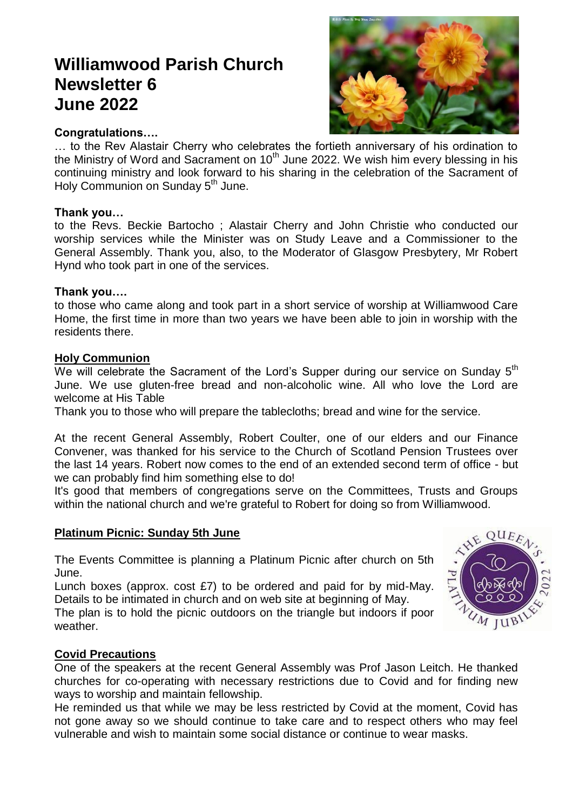# **Williamwood Parish Church Newsletter 6 June 2022**



#### **Congratulations….**

… to the Rev Alastair Cherry who celebrates the fortieth anniversary of his ordination to the Ministry of Word and Sacrament on  $10<sup>th</sup>$  June 2022. We wish him every blessing in his continuing ministry and look forward to his sharing in the celebration of the Sacrament of Holy Communion on Sunday 5<sup>th</sup> June.

#### **Thank you…**

to the Revs. Beckie Bartocho ; Alastair Cherry and John Christie who conducted our worship services while the Minister was on Study Leave and a Commissioner to the General Assembly. Thank you, also, to the Moderator of Glasgow Presbytery, Mr Robert Hynd who took part in one of the services.

#### **Thank you….**

to those who came along and took part in a short service of worship at Williamwood Care Home, the first time in more than two years we have been able to join in worship with the residents there.

#### **Holy Communion**

We will celebrate the Sacrament of the Lord's Supper during our service on Sunday 5<sup>th</sup> June. We use gluten-free bread and non-alcoholic wine. All who love the Lord are welcome at His Table

Thank you to those who will prepare the tablecloths; bread and wine for the service.

At the recent General Assembly, Robert Coulter, one of our elders and our Finance Convener, was thanked for his service to the Church of Scotland Pension Trustees over the last 14 years. Robert now comes to the end of an extended second term of office - but we can probably find him something else to do!

It's good that members of congregations serve on the Committees, Trusts and Groups within the national church and we're grateful to Robert for doing so from Williamwood.

#### **Platinum Picnic: Sunday 5th June**

The Events Committee is planning a Platinum Picnic after church on 5th June.

Lunch boxes (approx. cost £7) to be ordered and paid for by mid-May. Details to be intimated in church and on web site at beginning of May.

The plan is to hold the picnic outdoors on the triangle but indoors if poor weather.



#### **Covid Precautions**

One of the speakers at the recent General Assembly was Prof Jason Leitch. He thanked churches for co-operating with necessary restrictions due to Covid and for finding new ways to worship and maintain fellowship.

He reminded us that while we may be less restricted by Covid at the moment, Covid has not gone away so we should continue to take care and to respect others who may feel vulnerable and wish to maintain some social distance or continue to wear masks.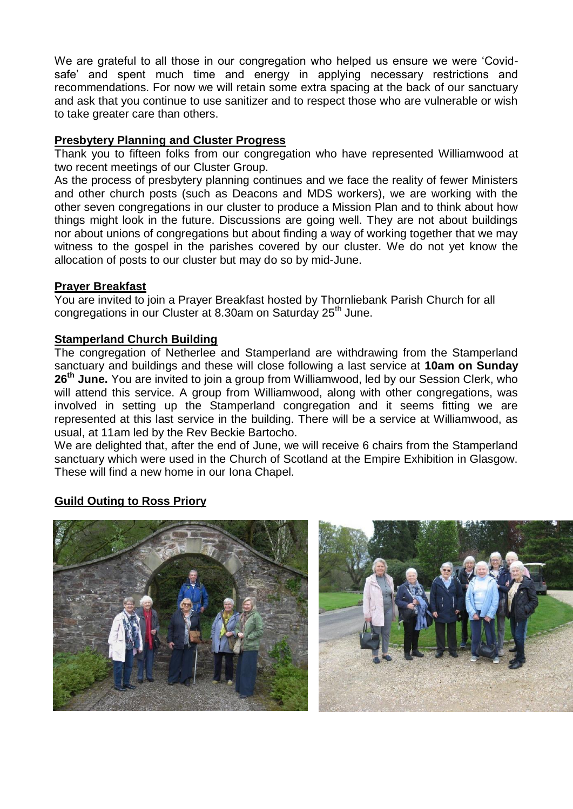We are grateful to all those in our congregation who helped us ensure we were 'Covidsafe' and spent much time and energy in applying necessary restrictions and recommendations. For now we will retain some extra spacing at the back of our sanctuary and ask that you continue to use sanitizer and to respect those who are vulnerable or wish to take greater care than others.

## **Presbytery Planning and Cluster Progress**

Thank you to fifteen folks from our congregation who have represented Williamwood at two recent meetings of our Cluster Group.

As the process of presbytery planning continues and we face the reality of fewer Ministers and other church posts (such as Deacons and MDS workers), we are working with the other seven congregations in our cluster to produce a Mission Plan and to think about how things might look in the future. Discussions are going well. They are not about buildings nor about unions of congregations but about finding a way of working together that we may witness to the gospel in the parishes covered by our cluster. We do not yet know the allocation of posts to our cluster but may do so by mid-June.

#### **Prayer Breakfast**

You are invited to join a Prayer Breakfast hosted by Thornliebank Parish Church for all congregations in our Cluster at 8.30am on Saturday 25<sup>th</sup> June.

### **Stamperland Church Building**

The congregation of Netherlee and Stamperland are withdrawing from the Stamperland sanctuary and buildings and these will close following a last service at **10am on Sunday 26th June.** You are invited to join a group from Williamwood, led by our Session Clerk, who will attend this service. A group from Williamwood, along with other congregations, was involved in setting up the Stamperland congregation and it seems fitting we are represented at this last service in the building. There will be a service at Williamwood, as usual, at 11am led by the Rev Beckie Bartocho.

We are delighted that, after the end of June, we will receive 6 chairs from the Stamperland sanctuary which were used in the Church of Scotland at the Empire Exhibition in Glasgow. These will find a new home in our Iona Chapel.

# **Guild Outing to Ross Priory**



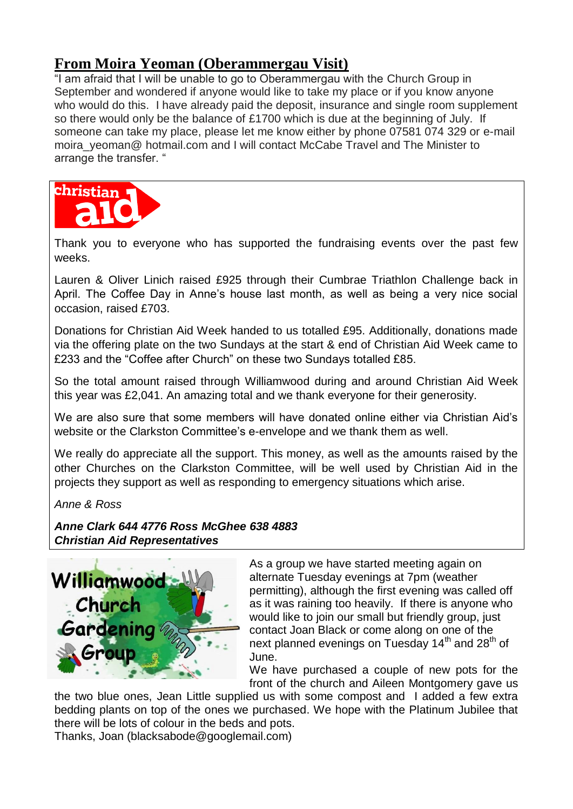# **From Moira Yeoman (Oberammergau Visit)**

"I am afraid that I will be unable to go to Oberammergau with the Church Group in September and wondered if anyone would like to take my place or if you know anyone who would do this. I have already paid the deposit, insurance and single room supplement so there would only be the balance of £1700 which is due at the beginning of July. If someone can take my place, please let me know either by phone 07581 074 329 or e-mail moira veoman@ hotmail.com and I will contact McCabe Travel and The Minister to arrange the transfer. "



Thank you to everyone who has supported the fundraising events over the past few weeks.

Lauren & Oliver Linich raised £925 through their Cumbrae Triathlon Challenge back in April. The Coffee Day in Anne's house last month, as well as being a very nice social occasion, raised £703.

Donations for Christian Aid Week handed to us totalled £95. Additionally, donations made via the offering plate on the two Sundays at the start & end of Christian Aid Week came to £233 and the "Coffee after Church" on these two Sundays totalled £85.

So the total amount raised through Williamwood during and around Christian Aid Week this year was £2,041. An amazing total and we thank everyone for their generosity.

We are also sure that some members will have donated online either via Christian Aid's website or the Clarkston Committee's e-envelope and we thank them as well.

We really do appreciate all the support. This money, as well as the amounts raised by the other Churches on the Clarkston Committee, will be well used by Christian Aid in the projects they support as well as responding to emergency situations which arise.

*Anne & Ross*

*Anne Clark 644 4776 Ross McGhee 638 4883 Christian Aid Representatives*



As a group we have started meeting again on alternate Tuesday evenings at 7pm (weather permitting), although the first evening was called off as it was raining too heavily. If there is anyone who would like to join our small but friendly group, just contact Joan Black or come along on one of the next planned evenings on Tuesday 14<sup>th</sup> and 28<sup>th</sup> of June.

We have purchased a couple of new pots for the front of the church and Aileen Montgomery gave us

the two blue ones, Jean Little supplied us with some compost and I added a few extra bedding plants on top of the ones we purchased. We hope with the Platinum Jubilee that there will be lots of colour in the beds and pots.

Thanks, Joan (blacksabode@googlemail.com)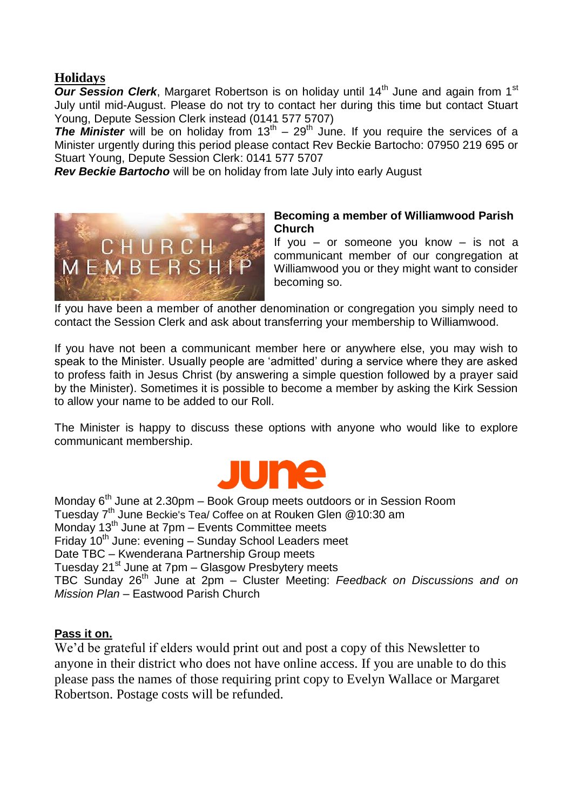# **Holidays**

*Our Session Clerk*, Margaret Robertson is on holiday until 14<sup>th</sup> June and again from 1<sup>st</sup> July until mid-August. Please do not try to contact her during this time but contact Stuart Young, Depute Session Clerk instead (0141 577 5707)

**The Minister** will be on holiday from  $13<sup>th</sup> - 29<sup>th</sup>$  June. If you require the services of a Minister urgently during this period please contact Rev Beckie Bartocho: 07950 219 695 or Stuart Young, Depute Session Clerk: 0141 577 5707

*Rev Beckie Bartocho* will be on holiday from late July into early August



#### **Becoming a member of Williamwood Parish Church**

If you – or someone you know – is not a communicant member of our congregation at Williamwood you or they might want to consider becoming so.

If you have been a member of another denomination or congregation you simply need to contact the Session Clerk and ask about transferring your membership to Williamwood.

If you have not been a communicant member here or anywhere else, you may wish to speak to the Minister. Usually people are 'admitted' during a service where they are asked to profess faith in Jesus Christ (by answering a simple question followed by a prayer said by the Minister). Sometimes it is possible to become a member by asking the Kirk Session to allow your name to be added to our Roll.

The Minister is happy to discuss these options with anyone who would like to explore communicant membership.



Monday 6<sup>th</sup> June at 2.30pm – Book Group meets outdoors or in Session Room Tuesday 7<sup>th</sup> June Beckie's Tea/ Coffee on at Rouken Glen @10:30 am Monday 13<sup>th</sup> June at 7pm – Events Committee meets Friday  $10<sup>th</sup>$  June: evening – Sunday School Leaders meet Date TBC – Kwenderana Partnership Group meets Tuesday 21<sup>st</sup> June at 7pm – Glasgow Presbytery meets TBC Sunday 26th June at 2pm – Cluster Meeting: *Feedback on Discussions and on Mission Plan* – Eastwood Parish Church

#### **Pass it on.**

We'd be grateful if elders would print out and post a copy of this Newsletter to anyone in their district who does not have online access. If you are unable to do this please pass the names of those requiring print copy to Evelyn Wallace or Margaret Robertson. Postage costs will be refunded.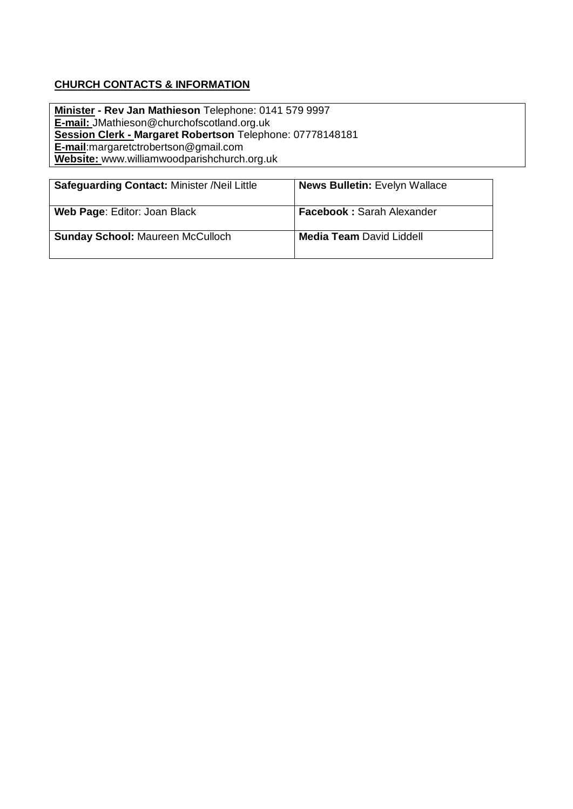#### **CHURCH CONTACTS & INFORMATION**

**Minister - Rev Jan Mathieson** Telephone: 0141 579 9997 **E-mail:** JMathieson@churchofscotland.org.uk **Session Clerk - Margaret Robertson** Telephone: 07778148181 **E-mail**:margaretctrobertson@gmail.com **Website:** www.williamwoodparishchurch.org.uk

| <b>Safeguarding Contact: Minister /Neil Little</b> | <b>News Bulletin: Evelyn Wallace</b> |
|----------------------------------------------------|--------------------------------------|
| Web Page: Editor: Joan Black                       | <b>Facebook: Sarah Alexander</b>     |
| <b>Sunday School: Maureen McCulloch</b>            | <b>Media Team David Liddell</b>      |